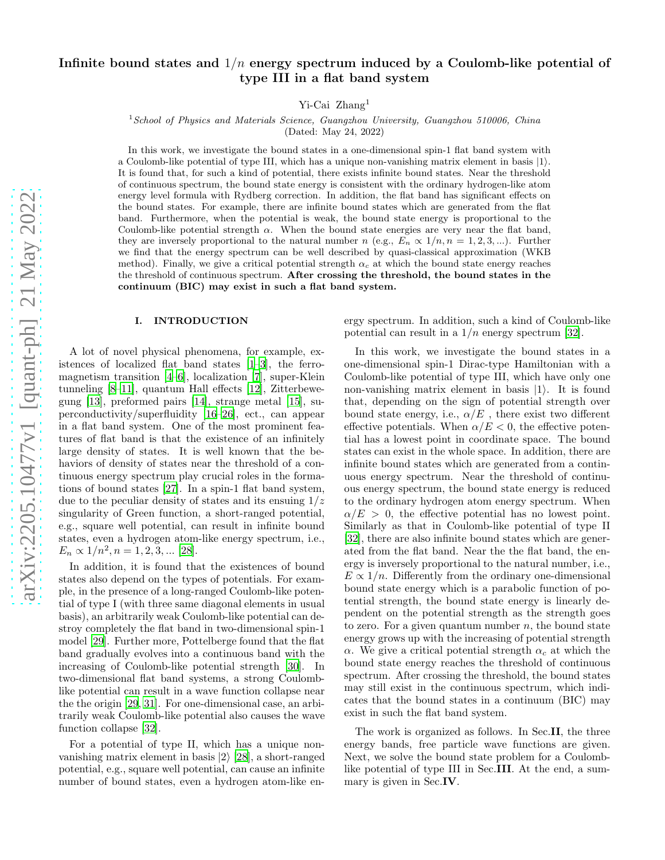# Infinite bound states and  $1/n$  energy spectrum induced by a Coulomb-like potential of type III in a flat band system

Yi-Cai Zhang<sup>1</sup>

 $1$ School of Physics and Materials Science, Guangzhou University, Guangzhou 510006, China

(Dated: May 24, 2022)

In this work, we investigate the bound states in a one-dimensional spin-1 flat band system with a Coulomb-like potential of type III, which has a unique non-vanishing matrix element in basis  $|1\rangle$ . It is found that, for such a kind of potential, there exists infinite bound states. Near the threshold of continuous spectrum, the bound state energy is consistent with the ordinary hydrogen-like atom energy level formula with Rydberg correction. In addition, the flat band has significant effects on the bound states. For example, there are infinite bound states which are generated from the flat band. Furthermore, when the potential is weak, the bound state energy is proportional to the Coulomb-like potential strength  $\alpha$ . When the bound state energies are very near the flat band, they are inversely proportional to the natural number  $n$  (e.g.,  $E_n \propto 1/n$ ,  $n = 1, 2, 3, ...$ ). Further we find that the energy spectrum can be well described by quasi-classical approximation (WKB method). Finally, we give a critical potential strength  $\alpha_c$  at which the bound state energy reaches the threshold of continuous spectrum. After crossing the threshold, the bound states in the continuum (BIC) may exist in such a flat band system.

## I. INTRODUCTION

A lot of novel physical phenomena, for example, existences of localized flat band states [\[1](#page-6-0)[–3\]](#page-6-1), the ferromagnetism transition [\[4](#page-6-2)[–6\]](#page-6-3), localization [\[7](#page-6-4)], super-Klein tunneling [\[8](#page-6-5)[–11\]](#page-6-6), quantum Hall effects [\[12\]](#page-7-0), Zitterbewegung [\[13](#page-7-1)], preformed pairs [\[14\]](#page-7-2), strange metal [\[15](#page-7-3)], superconductivity/superfluidity [\[16](#page-7-4)[–26\]](#page-7-5), ect., can appear in a flat band system. One of the most prominent features of flat band is that the existence of an infinitely large density of states. It is well known that the behaviors of density of states near the threshold of a continuous energy spectrum play crucial roles in the formations of bound states [\[27](#page-7-6)]. In a spin-1 flat band system, due to the peculiar density of states and its ensuing  $1/z$ singularity of Green function, a short-ranged potential, e.g., square well potential, can result in infinite bound states, even a hydrogen atom-like energy spectrum, i.e.,  $E_n \propto 1/n^2, n = 1, 2, 3, ...$  [\[28\]](#page-7-7).

In addition, it is found that the existences of bound states also depend on the types of potentials. For example, in the presence of a long-ranged Coulomb-like potential of type I (with three same diagonal elements in usual basis), an arbitrarily weak Coulomb-like potential can destroy completely the flat band in two-dimensional spin-1 model [\[29\]](#page-7-8). Further more, Pottelberge found that the flat band gradually evolves into a continuous band with the increasing of Coulomb-like potential strength [\[30](#page-7-9)]. In two-dimensional flat band systems, a strong Coulomblike potential can result in a wave function collapse near the the origin [\[29](#page-7-8), [31\]](#page-7-10). For one-dimensional case, an arbitrarily weak Coulomb-like potential also causes the wave function collapse [\[32\]](#page-7-11).

For a potential of type II, which has a unique nonvanishing matrix element in basis  $|2\rangle$  [\[28\]](#page-7-7), a short-ranged potential, e.g., square well potential, can cause an infinite number of bound states, even a hydrogen atom-like energy spectrum. In addition, such a kind of Coulomb-like potential can result in a  $1/n$  energy spectrum [\[32\]](#page-7-11).

In this work, we investigate the bound states in a one-dimensional spin-1 Dirac-type Hamiltonian with a Coulomb-like potential of type III, which have only one non-vanishing matrix element in basis  $|1\rangle$ . It is found that, depending on the sign of potential strength over bound state energy, i.e.,  $\alpha/E$ , there exist two different effective potentials. When  $\alpha/E < 0$ , the effective potential has a lowest point in coordinate space. The bound states can exist in the whole space. In addition, there are infinite bound states which are generated from a continuous energy spectrum. Near the threshold of continuous energy spectrum, the bound state energy is reduced to the ordinary hydrogen atom energy spectrum. When  $\alpha/E > 0$ , the effective potential has no lowest point. Similarly as that in Coulomb-like potential of type II [\[32\]](#page-7-11), there are also infinite bound states which are generated from the flat band. Near the the flat band, the energy is inversely proportional to the natural number, i.e.,  $E \propto 1/n$ . Differently from the ordinary one-dimensional bound state energy which is a parabolic function of potential strength, the bound state energy is linearly dependent on the potential strength as the strength goes to zero. For a given quantum number  $n$ , the bound state energy grows up with the increasing of potential strength α. We give a critical potential strength  $α<sub>c</sub>$  at which the bound state energy reaches the threshold of continuous spectrum. After crossing the threshold, the bound states may still exist in the continuous spectrum, which indicates that the bound states in a continuum (BIC) may exist in such the flat band system.

The work is organized as follows. In Sec.II, the three energy bands, free particle wave functions are given. Next, we solve the bound state problem for a Coulomblike potential of type III in Sec.III. At the end, a summary is given in Sec.IV.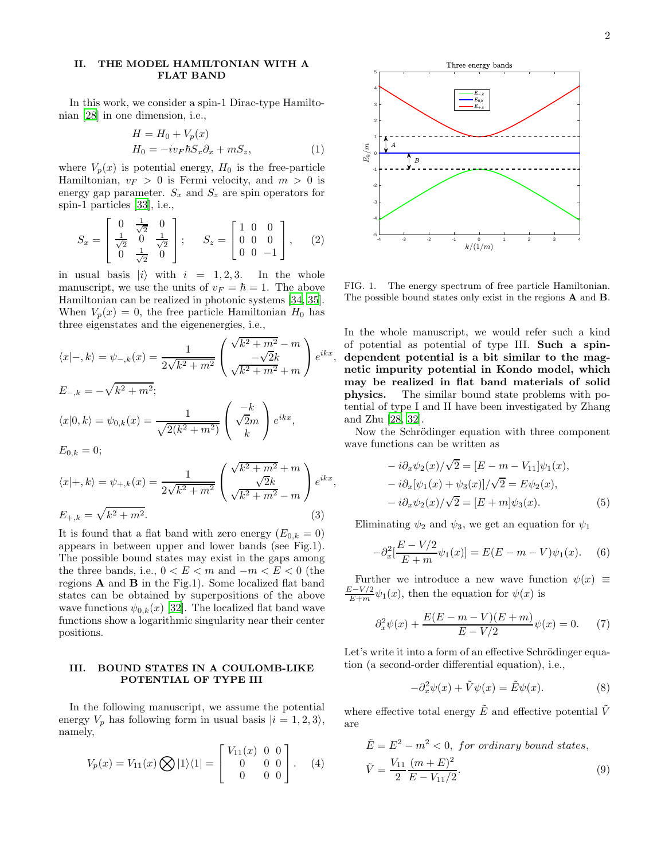# II. THE MODEL HAMILTONIAN WITH A FLAT BAND

In this work, we consider a spin-1 Dirac-type Hamiltonian [\[28\]](#page-7-7) in one dimension, i.e.,

$$
H = H_0 + V_p(x)
$$
  
\n
$$
H_0 = -i v_F \hbar S_x \partial_x + m S_z,
$$
\n(1)

where  $V_p(x)$  is potential energy,  $H_0$  is the free-particle Hamiltonian,  $v_F > 0$  is Fermi velocity, and  $m > 0$  is energy gap parameter.  $S_x$  and  $S_z$  are spin operators for spin-1 particles [\[33](#page-7-12)], i.e.,

$$
S_x = \begin{bmatrix} 0 & \frac{1}{\sqrt{2}} & 0 \\ \frac{1}{\sqrt{2}} & 0 & \frac{1}{\sqrt{2}} \\ 0 & \frac{1}{\sqrt{2}} & 0 \end{bmatrix}; \quad S_z = \begin{bmatrix} 1 & 0 & 0 \\ 0 & 0 & 0 \\ 0 & 0 & -1 \end{bmatrix}, \quad (2)
$$

in usual basis  $|i\rangle$  with  $i = 1, 2, 3$ . In the whole manuscript, we use the units of  $v_F = \hbar = 1$ . The above Hamiltonian can be realized in photonic systems [\[34](#page-7-13), [35\]](#page-7-14). When  $V_p(x) = 0$ , the free particle Hamiltonian  $H_0$  has three eigenstates and the eigenenergies, i.e.,

$$
\langle x | -, k \rangle = \psi_{-,k}(x) = \frac{1}{2\sqrt{k^2 + m^2}} \left( \frac{\sqrt{k^2 + m^2} - m}{\sqrt{k^2 + m^2} + m} \right) e^{ikx}
$$
  
\n
$$
E_{-,k} = -\sqrt{k^2 + m^2};
$$
  
\n
$$
\langle x | 0, k \rangle = \psi_{0,k}(x) = \frac{1}{\sqrt{2(k^2 + m^2)}} \left( \frac{-k}{\sqrt{2}m} \right) e^{ikx},
$$
  
\n
$$
E_{0,k} = 0;
$$

$$
\langle x|+,k\rangle = \psi_{+,k}(x) = \frac{1}{2\sqrt{k^2 + m^2}} \begin{pmatrix} \sqrt{k^2 + m^2} + m \\ \sqrt{2k} \\ \sqrt{k^2 + m^2} - m \end{pmatrix} e^{ikx}
$$
  

$$
E_{+,k} = \sqrt{k^2 + m^2}.
$$
 (3)

It is found that a flat band with zero energy  $(E_{0,k} = 0)$ appears in between upper and lower bands (see Fig.1). The possible bound states may exist in the gaps among the three bands, i.e.,  $0 < E < m$  and  $-m < E < 0$  (the regions  $\bf{A}$  and  $\bf{B}$  in the Fig.1). Some localized flat band states can be obtained by superpositions of the above wave functions  $\psi_{0,k}(x)$  [\[32\]](#page-7-11). The localized flat band wave functions show a logarithmic singularity near their center positions.

## III. BOUND STATES IN A COULOMB-LIKE POTENTIAL OF TYPE III

In the following manuscript, we assume the potential energy  $V_p$  has following form in usual basis  $|i = 1, 2, 3\rangle$ , namely,

$$
V_p(x) = V_{11}(x) \bigotimes |1\rangle\langle 1| = \begin{bmatrix} V_{11}(x) & 0 & 0 \\ 0 & 0 & 0 \\ 0 & 0 & 0 \end{bmatrix} . \tag{4}
$$



FIG. 1. The energy spectrum of free particle Hamiltonian. The possible bound states only exist in the regions A and B.

In the whole manuscript, we would refer such a kind of potential as potential of type III. Such a spindependent potential is a bit similar to the magnetic impurity potential in Kondo model, which may be realized in flat band materials of solid physics. The similar bound state problems with potential of type I and II have been investigated by Zhang and Zhu [\[28](#page-7-7), [32](#page-7-11)].

,

,

Now the Schrödinger equation with three component wave functions can be written as

$$
-i\partial_x \psi_2(x)/\sqrt{2} = [E - m - V_{11}] \psi_1(x),
$$
  
\n
$$
-i\partial_x [\psi_1(x) + \psi_3(x)]/\sqrt{2} = E \psi_2(x),
$$
  
\n
$$
-i\partial_x \psi_2(x)/\sqrt{2} = [E + m] \psi_3(x).
$$
\n(5)

Eliminating  $\psi_2$  and  $\psi_3$ , we get an equation for  $\psi_1$ 

$$
-\partial_x^2 \left[\frac{E - V/2}{E + m}\psi_1(x)\right] = E(E - m - V)\psi_1(x). \tag{6}
$$

Further we introduce a new wave function  $\psi(x) \equiv$  $\frac{E-V/2}{E+m}\psi_1(x)$ , then the equation for  $\psi(x)$  is

$$
\partial_x^2 \psi(x) + \frac{E(E - m - V)(E + m)}{E - V/2} \psi(x) = 0. \tag{7}
$$

Let's write it into a form of an effective Schrödinger equation (a second-order differential equation), i.e.,

<span id="page-1-0"></span>
$$
-\partial_x^2 \psi(x) + \tilde{V}\psi(x) = \tilde{E}\psi(x).
$$
 (8)

where effective total energy  $\tilde{E}$  and effective potential  $\tilde{V}$ are

$$
\tilde{E} = E^2 - m^2 < 0, \text{ for ordinary bound states,}
$$
\n
$$
\tilde{V} = \frac{V_{11}}{2} \frac{(m+E)^2}{E - V_{11}/2}.
$$
\n
$$
(9)
$$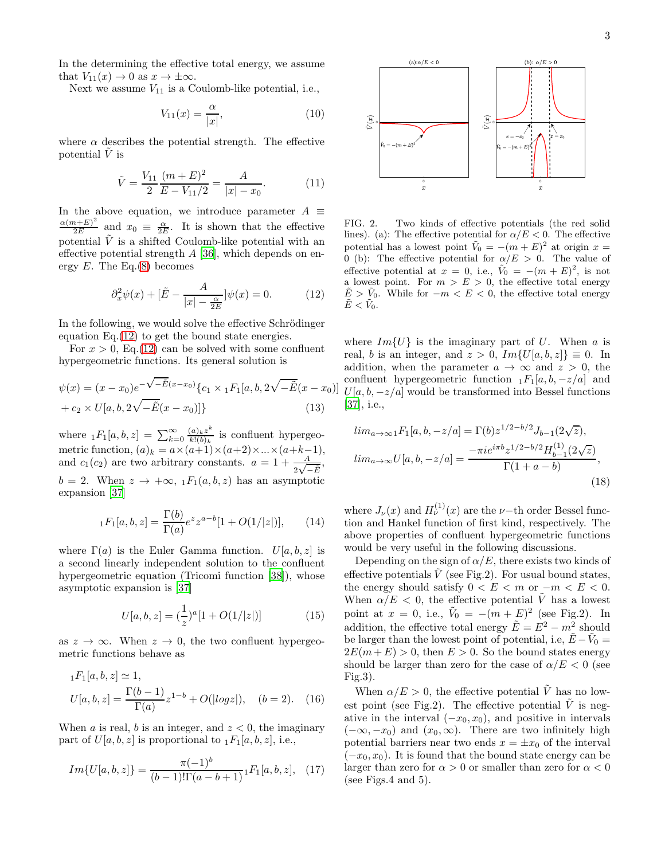In the determining the effective total energy, we assume that  $V_{11}(x) \rightarrow 0$  as  $x \rightarrow \pm \infty$ .

Next we assume  $V_{11}$  is a Coulomb-like potential, i.e.,

$$
V_{11}(x) = \frac{\alpha}{|x|},\tag{10}
$$

where  $\alpha$  describes the potential strength. The effective potential  $V$  is

$$
\tilde{V} = \frac{V_{11}}{2} \frac{(m+E)^2}{E - V_{11}/2} = \frac{A}{|x| - x_0}.
$$
\n(11)

In the above equation, we introduce parameter  $A \equiv$  $\alpha(m+E)^2$  $rac{a+E^2}{2E}$  and  $x_0 \equiv \frac{\alpha}{2E}$ . It is shown that the effective potential  $\tilde{V}$  is a shifted Coulomb-like potential with an effective potential strength  $A$  [\[36\]](#page-7-15), which depends on energy  $E$ . The Eq.[\(8\)](#page-1-0) becomes

$$
\partial_x^2 \psi(x) + \left[\tilde{E} - \frac{A}{|x| - \frac{\alpha}{2E}}\right] \psi(x) = 0. \tag{12}
$$

In the following, we would solve the effective Schrödinger equation Eq.[\(12\)](#page-2-0) to get the bound state energies.

For  $x > 0$ , Eq. [\(12\)](#page-2-0) can be solved with some confluent hypergeometric functions. Its general solution is

$$
\psi(x) = (x - x_0)e^{-\sqrt{-\tilde{E}}(x - x_0)}\{c_1 \times {}_1F_1[a, b, 2\sqrt{-\tilde{E}}(x - x_0)] + c_2 \times U[a, b, 2\sqrt{-\tilde{E}}(x - x_0)]\}
$$
\n(13)

where  $_1F_1[a, b, z] = \sum_{k=0}^{\infty} \frac{(a)_k z^k}{k!(b)_k}$  $\frac{(a)_k z}{k!(b)_k}$  is confluent hypergeometric function,  $(a)_k = a \times (a+1) \times (a+2) \times ... \times (a+k-1)$ , and  $c_1(c_2)$  are two arbitrary constants.  $a = 1 + \frac{A}{2\sqrt{-\tilde{E}}},$  $b = 2$ . When  $z \to +\infty$ ,  $_1F_1(a, b, z)$  has an asymptotic expansion [\[37](#page-7-16)]

$$
{}_1F_1[a,b,z] = \frac{\Gamma(b)}{\Gamma(a)} e^z z^{a-b} [1 + O(1/|z|)], \qquad (14)
$$

where  $\Gamma(a)$  is the Euler Gamma function.  $U[a, b, z]$  is a second linearly independent solution to the confluent hypergeometric equation (Tricomi function [\[38\]](#page-7-17)), whose asymptotic expansion is [\[37](#page-7-16)]

$$
U[a, b, z] = \left(\frac{1}{z}\right)^{a} [1 + O(1/|z|)] \tag{15}
$$

as  $z \to \infty$ . When  $z \to 0$ , the two confluent hypergeometric functions behave as

$$
{}_{1}F_{1}[a,b,z] \simeq 1,
$$
  
\n
$$
U[a,b,z] = \frac{\Gamma(b-1)}{\Gamma(a)}z^{1-b} + O(|log z|), \quad (b = 2).
$$
 (16)

When a is real, b is an integer, and  $z < 0$ , the imaginary part of  $U[a, b, z]$  is proportional to  $_1F_1[a, b, z]$ , i.e.,

$$
Im{U[a,b,z]} = \frac{\pi(-1)^b}{(b-1)!\Gamma(a-b+1)} {}_1F_1[a,b,z], \quad (17)
$$



<span id="page-2-3"></span>FIG. 2. Two kinds of effective potentials (the red solid lines). (a): The effective potential for  $\alpha/E < 0$ . The effective potential has a lowest point  $\tilde{V}_0 = -(m+E)^2$  at origin  $x =$ 0 (b): The effective potential for  $\alpha/E > 0$ . The value of effective potential at  $x = 0$ , i.e.,  $\tilde{V}_0 = -(m+E)^2$ , is not a lowest point. For  $m > E > 0$ , the effective total energy  $\tilde{E} > \tilde{V}_0$ . While for  $-m < E < 0$ , the effective total energy  $\tilde{E} < \tilde{V}_0.$ 

<span id="page-2-0"></span>where  $Im{U}$  is the imaginary part of U. When a is real, b is an integer, and  $z > 0$ ,  $Im{U[a, b, z]} \equiv 0$ . In addition, when the parameter  $a \to \infty$  and  $z > 0$ , the confluent hypergeometric function  $_1F_1[a, b, -z/a]$  and  $U[a, b, -z/a]$  would be transformed into Bessel functions [\[37\]](#page-7-16), i.e.,

<span id="page-2-5"></span>
$$
lim_{a \to \infty} {}_1F_1[a, b, -z/a] = \Gamma(b) z^{1/2 - b/2} J_{b-1}(2\sqrt{z}),
$$
  

$$
lim_{a \to \infty} U[a, b, -z/a] = \frac{-\pi i e^{i\pi b} z^{1/2 - b/2} H_{b-1}(2\sqrt{z})}{\Gamma(1 + a - b)},
$$
\n(18)

<span id="page-2-1"></span>where  $J_{\nu}(x)$  and  $H_{\nu}^{(1)}(x)$  are the  $\nu$ -th order Bessel function and Hankel function of first kind, respectively. The above properties of confluent hypergeometric functions would be very useful in the following discussions.

<span id="page-2-2"></span>Depending on the sign of  $\alpha/E$ , there exists two kinds of effective potentials  $\tilde{V}$  (see Fig.2). For usual bound states, the energy should satisfy  $0 \lt E \lt m$  or  $-m \lt E \lt 0$ . When  $\alpha/E < 0$ , the effective potential  $\tilde{V}$  has a lowest point at  $x = 0$ , i.e.,  $\tilde{V}_0 = -(m + E)^2$  (see Fig.2). In addition, the effective total energy  $\tilde{E} = E^2 - m^2$  should be larger than the lowest point of potential, i.e,  $\tilde{E} - \tilde{V}_0 =$  $2E(m+E) > 0$ , then  $E > 0$ . So the bound states energy should be larger than zero for the case of  $\alpha/E < 0$  (see Fig.3).

<span id="page-2-6"></span><span id="page-2-4"></span>When  $\alpha/E > 0$ , the effective potential V has no lowest point (see Fig.2). The effective potential  $\tilde{V}$  is negative in the interval  $(-x_0, x_0)$ , and positive in intervals  $(-\infty, -x_0)$  and  $(x_0, \infty)$ . There are two infinitely high potential barriers near two ends  $x = \pm x_0$  of the interval  $(-x_0, x_0)$ . It is found that the bound state energy can be larger than zero for  $\alpha > 0$  or smaller than zero for  $\alpha < 0$ (see Figs.4 and 5).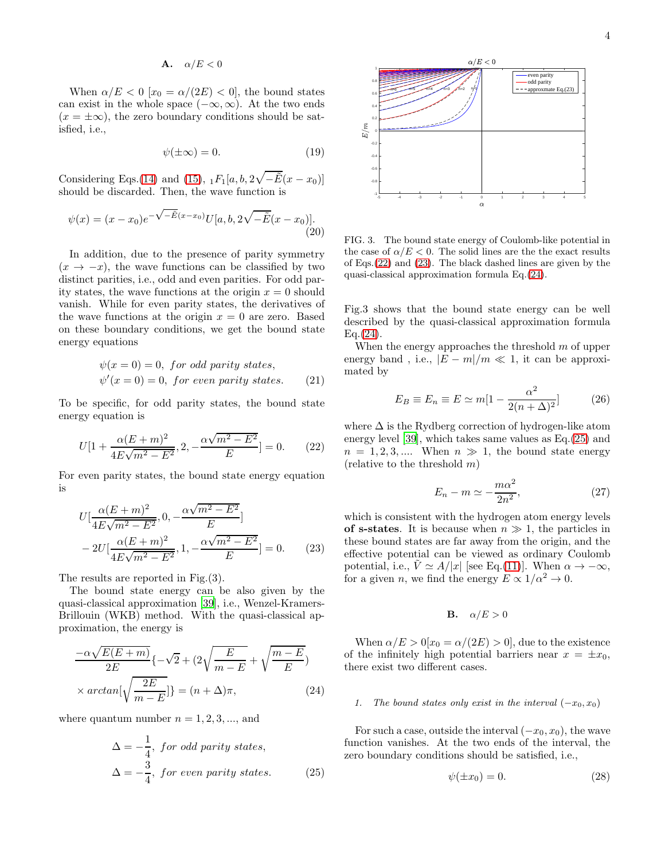$$
A. \quad \alpha/E < 0
$$

When  $\alpha/E < 0$  [ $x_0 = \alpha/(2E) < 0$ ], the bound states can exist in the whole space  $(-\infty, \infty)$ . At the two ends  $(x = \pm \infty)$ , the zero boundary conditions should be satisfied, i.e.,

$$
\psi(\pm \infty) = 0. \tag{19}
$$

Considering Eqs.[\(14\)](#page-2-1) and [\(15\)](#page-2-2),  $_1F_1[a, b, 2\sqrt{-\tilde{E}}(x-x_0)]$ should be discarded. Then, the wave function is

$$
\psi(x) = (x - x_0)e^{-\sqrt{-\tilde{E}}(x - x_0)}U[a, b, 2\sqrt{-\tilde{E}}(x - x_0)].
$$
\n(20)

In addition, due to the presence of parity symmetry  $(x \rightarrow -x)$ , the wave functions can be classified by two distinct parities, i.e., odd and even parities. For odd parity states, the wave functions at the origin  $x = 0$  should vanish. While for even parity states, the derivatives of the wave functions at the origin  $x = 0$  are zero. Based on these boundary conditions, we get the bound state energy equations

$$
\psi(x = 0) = 0, \text{ for odd parity states},
$$
  

$$
\psi'(x = 0) = 0, \text{ for even parity states}. \tag{21}
$$

To be specific, for odd parity states, the bound state energy equation is

$$
U[1 + \frac{\alpha (E + m)^2}{4E\sqrt{m^2 - E^2}}, 2, -\frac{\alpha \sqrt{m^2 - E^2}}{E}] = 0.
$$
 (22)

For even parity states, the bound state energy equation is

$$
U\left[\frac{\alpha(E+m)^2}{4E\sqrt{m^2 - E^2}}, 0, -\frac{\alpha\sqrt{m^2 - E^2}}{E}\right] - 2U\left[\frac{\alpha(E+m)^2}{4E\sqrt{m^2 - E^2}}, 1, -\frac{\alpha\sqrt{m^2 - E^2}}{E}\right] = 0.
$$
 (23)

The results are reported in Fig.(3).

The bound state energy can be also given by the quasi-classical approximation [\[39\]](#page-7-18), i.e., Wenzel-Kramers-Brillouin (WKB) method. With the quasi-classical approximation, the energy is

$$
\frac{-\alpha\sqrt{E(E+m)}}{2E}\left\{-\sqrt{2} + (2\sqrt{\frac{E}{m-E}} + \sqrt{\frac{m-E}{E}})\right\}
$$

$$
\times \arctan\left[\sqrt{\frac{2E}{m-E}}\right] = (n+\Delta)\pi, \tag{24}
$$

where quantum number  $n = 1, 2, 3, \dots$ , and

$$
\Delta = -\frac{1}{4}, \text{ for odd parity states,}
$$
  

$$
\Delta = -\frac{3}{4}, \text{ for even parity states.}
$$
 (25)



FIG. 3. The bound state energy of Coulomb-like potential in the case of  $\alpha/E < 0$ . The solid lines are the the exact results of Eqs.[\(22\)](#page-3-0) and [\(23\)](#page-3-1). The black dashed lines are given by the quasi-classical approximation formula Eq.[\(24\)](#page-3-2).

Fig.3 shows that the bound state energy can be well described by the quasi-classical approximation formula  $Eq. (24).$  $Eq. (24).$  $Eq. (24).$ 

When the energy approaches the threshold  $m$  of upper energy band, i.e.,  $|E - m|/m \ll 1$ , it can be approximated by

$$
E_B \equiv E_n \equiv E \simeq m[1 - \frac{\alpha^2}{2(n+\Delta)^2}] \tag{26}
$$

<span id="page-3-0"></span>where  $\Delta$  is the Rydberg correction of hydrogen-like atom energy level [\[39\]](#page-7-18), which takes same values as Eq.[\(25\)](#page-3-3) and  $n = 1, 2, 3, \dots$  When  $n \gg 1$ , the bound state energy (relative to the threshold  $m$ )

$$
E_n - m \simeq -\frac{m\alpha^2}{2n^2},\tag{27}
$$

<span id="page-3-1"></span>which is consistent with the hydrogen atom energy levels of s-states. It is because when  $n \gg 1$ , the particles in these bound states are far away from the origin, and the effective potential can be viewed as ordinary Coulomb potential, i.e.,  $\tilde{V} \simeq A/|x|$  [see Eq.[\(11\)](#page-2-3)]. When  $\alpha \to -\infty$ , for a given *n*, we find the energy  $E \propto 1/\alpha^2 \to 0$ .

$$
\mathbf{B.} \quad \alpha/E > 0
$$

When  $\alpha/E > 0[x_0 = \alpha/(2E) > 0]$ , due to the existence of the infinitely high potential barriers near  $x = \pm x_0$ , there exist two different cases.

## <span id="page-3-2"></span>1. The bound states only exist in the interval  $(-x_0, x_0)$

<span id="page-3-3"></span>For such a case, outside the interval  $(-x_0, x_0)$ , the wave function vanishes. At the two ends of the interval, the zero boundary conditions should be satisfied, i.e.,

<span id="page-3-4"></span>
$$
\psi(\pm x_0) = 0.\tag{28}
$$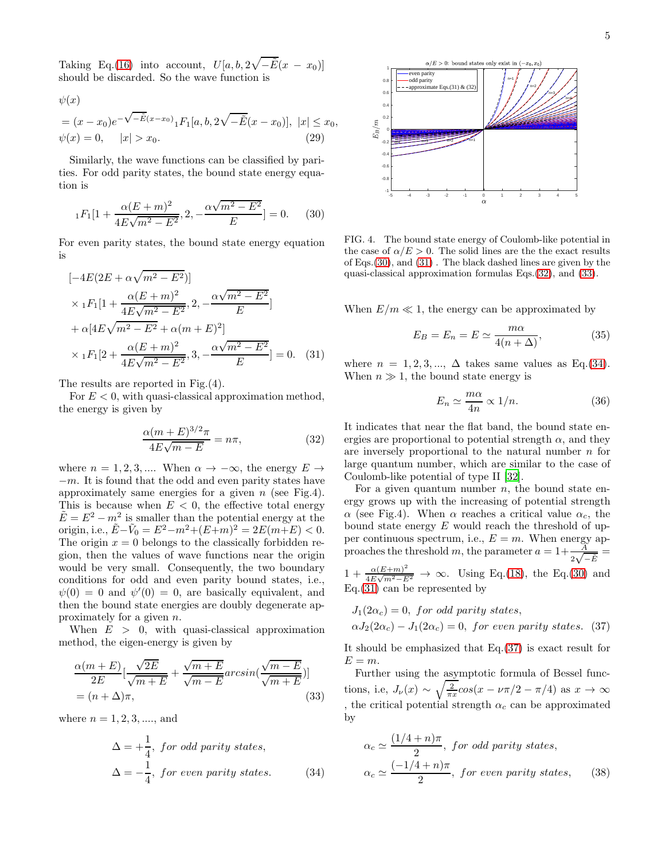5

Taking Eq.[\(16\)](#page-2-4) into account,  $U[a, b, 2\sqrt{-\tilde{E}}(x - x_0)]$ should be discarded. So the wave function is

$$
\psi (x)
$$

$$
= (x - x_0)e^{-\sqrt{-\tilde{E}}(x - x_0)} {}_1F_1[a, b, 2\sqrt{-\tilde{E}}(x - x_0)], \ |x| \le x_0, \n\psi(x) = 0, \quad |x| > x_0.
$$
\n(29)

Similarly, the wave functions can be classified by parities. For odd parity states, the bound state energy equation is

$$
{}_1F_1[1 + \frac{\alpha (E+m)^2}{4E\sqrt{m^2 - E^2}}, 2, -\frac{\alpha \sqrt{m^2 - E^2}}{E}] = 0. \tag{30}
$$

For even parity states, the bound state energy equation is

$$
[-4E(2E + \alpha\sqrt{m^2 - E^2})]
$$
  
\n
$$
\times {}_1F_1[1 + \frac{\alpha(E + m)^2}{4E\sqrt{m^2 - E^2}}, 2, -\frac{\alpha\sqrt{m^2 - E^2}}{E}]
$$
  
\n
$$
+ \alpha[4E\sqrt{m^2 - E^2} + \alpha(m + E)^2]
$$
  
\n
$$
\times {}_1F_1[2 + \frac{\alpha(E + m)^2}{4E\sqrt{m^2 - E^2}}, 3, -\frac{\alpha\sqrt{m^2 - E^2}}{E}] = 0.
$$
 (31)

The results are reported in Fig.(4).

For  $E < 0$ , with quasi-classical approximation method, the energy is given by

$$
\frac{\alpha (m+E)^{3/2}\pi}{4E\sqrt{m-E}} = n\pi,
$$
\n(32)

where  $n = 1, 2, 3, \dots$  When  $\alpha \to -\infty$ , the energy  $E \to$  $-m$ . It is found that the odd and even parity states have approximately same energies for a given  $n$  (see Fig.4). This is because when  $E < 0$ , the effective total energy  $\tilde{E} = E^2 - m^2$  is smaller than the potential energy at the origin, i.e.,  $\tilde{E} - \tilde{V}_0 = E^2 - m^2 + (E + m)^2 = 2E(m + E) < 0.$ The origin  $x = 0$  belongs to the classically forbidden region, then the values of wave functions near the origin would be very small. Consequently, the two boundary conditions for odd and even parity bound states, i.e.,  $\psi(0) = 0$  and  $\psi'(0) = 0$ , are basically equivalent, and then the bound state energies are doubly degenerate approximately for a given n.

When  $E > 0$ , with quasi-classical approximation method, the eigen-energy is given by

$$
\frac{\alpha(m+E)}{2E}[\frac{\sqrt{2E}}{\sqrt{m+E}} + \frac{\sqrt{m+E}}{\sqrt{m-E}}arcsin(\frac{\sqrt{m-E}}{\sqrt{m+E}})]
$$
  
=  $(n+\Delta)\pi$ , (33)

where  $n = 1, 2, 3, \dots$ , and

$$
\Delta = +\frac{1}{4}, \text{ for odd parity states,}
$$
  

$$
\Delta = -\frac{1}{4}, \text{ for even parity states.}
$$
 (34)



<span id="page-4-0"></span>FIG. 4. The bound state energy of Coulomb-like potential in the case of  $\alpha/E > 0$ . The solid lines are the the exact results of Eqs.[\(30\)](#page-4-0), and [\(31\)](#page-4-1) . The black dashed lines are given by the quasi-classical approximation formulas Eqs.[\(32\)](#page-4-2), and [\(33\)](#page-4-3).

When  $E/m \ll 1$ , the energy can be approximated by

$$
E_B = E_n = E \simeq \frac{m\alpha}{4(n+\Delta)},\tag{35}
$$

<span id="page-4-1"></span>where  $n = 1, 2, 3, \dots, \Delta$  takes same values as Eq.[\(34\)](#page-4-4). When  $n \gg 1$ , the bound state energy is

$$
E_n \simeq \frac{m\alpha}{4n} \propto 1/n. \tag{36}
$$

<span id="page-4-2"></span>It indicates that near the flat band, the bound state energies are proportional to potential strength  $\alpha$ , and they are inversely proportional to the natural number  $n$  for large quantum number, which are similar to the case of Coulomb-like potential of type II [\[32\]](#page-7-11).

For a given quantum number  $n$ , the bound state energy grows up with the increasing of potential strength  $\alpha$  (see Fig.4). When  $\alpha$  reaches a critical value  $\alpha_c$ , the bound state energy  $E$  would reach the threshold of upper continuous spectrum, i.e.,  $E = m$ . When energy approaches the threshold m, the parameter  $a = 1 + \frac{A}{2\sqrt{-\vec{E}}}$  $1 + \frac{\alpha (E+m)^2}{4E \sqrt{m^2 - E}}$  $\frac{\alpha(E+m)}{4E\sqrt{m^2-E^2}} \to \infty$ . Using Eq.[\(18\)](#page-2-5), the Eq.[\(30\)](#page-4-0) and Eq.[\(31\)](#page-4-1) can be represented by

<span id="page-4-5"></span>
$$
J_1(2\alpha_c) = 0
$$
, for odd parity states,  
 $\alpha J_2(2\alpha_c) - J_1(2\alpha_c) = 0$ , for even parity states. (37)

It should be emphasized that Eq.[\(37\)](#page-4-5) is exact result for  $E = m$ .

<span id="page-4-3"></span>Further using the asymptotic formula of Bessel functions, i.e,  $J_{\nu}(x) \sim \sqrt{\frac{2}{\pi x}} cos(x - \nu \pi/2 - \pi/4)$  as  $x \to \infty$ , the critical potential strength  $\alpha_c$  can be approximated by

<span id="page-4-4"></span>
$$
\alpha_c \simeq \frac{(1/4+n)\pi}{2}, \text{ for odd parity states,}
$$

$$
\alpha_c \simeq \frac{(-1/4+n)\pi}{2}, \text{ for even parity states,} \qquad (38)
$$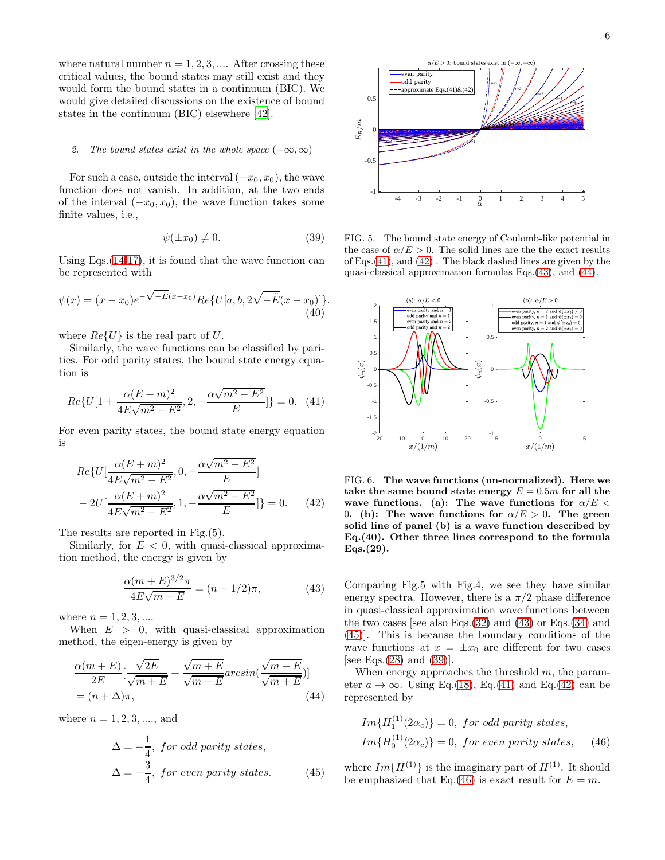where natural number  $n = 1, 2, 3, \dots$  After crossing these critical values, the bound states may still exist and they would form the bound states in a continuum (BIC). We would give detailed discussions on the existence of bound states in the continuum (BIC) elsewhere [\[42](#page-7-19)].

### 2. The bound states exist in the whole space  $(-\infty,\infty)$

For such a case, outside the interval  $(-x_0, x_0)$ , the wave function does not vanish. In addition, at the two ends of the interval  $(-x_0, x_0)$ , the wave function takes some finite values, i.e.,

$$
\psi(\pm x_0) \neq 0. \tag{39}
$$

Using Eqs.[\(14](#page-2-1)[-17\)](#page-2-6), it is found that the wave function can be represented with

$$
\psi(x) = (x - x_0)e^{-\sqrt{-\tilde{E}}(x - x_0)}Re\{U[a, b, 2\sqrt{-\tilde{E}}(x - x_0)]\}.
$$
\n(40)

where  $Re\{U\}$  is the real part of U.

Similarly, the wave functions can be classified by parities. For odd parity states, the bound state energy equation is

$$
Re\{U[1+\frac{\alpha(E+m)^2}{4E\sqrt{m^2-E^2}},2,-\frac{\alpha\sqrt{m^2-E^2}}{E}]\}=0.
$$
 (41)

For even parity states, the bound state energy equation is

$$
Re\{U[\frac{\alpha(E+m)^2}{4E\sqrt{m^2 - E^2}}, 0, -\frac{\alpha\sqrt{m^2 - E^2}}{E}]
$$
  

$$
-2U[\frac{\alpha(E+m)^2}{4E\sqrt{m^2 - E^2}}, 1, -\frac{\alpha\sqrt{m^2 - E^2}}{E}]\} = 0.
$$
 (42)

The results are reported in Fig.(5).

Similarly, for  $E < 0$ , with quasi-classical approximation method, the energy is given by

$$
\frac{\alpha(m+E)^{3/2}\pi}{4E\sqrt{m-E}} = (n-1/2)\pi,
$$
 (43)

where  $n = 1, 2, 3, ...$ 

When  $E > 0$ , with quasi-classical approximation method, the eigen-energy is given by

$$
\frac{\alpha(m+E)}{2E}[\frac{\sqrt{2E}}{\sqrt{m+E}} + \frac{\sqrt{m+E}}{\sqrt{m-E}}arcsin(\frac{\sqrt{m-E}}{\sqrt{m+E}})]
$$
  
=  $(n+\Delta)\pi$ , (44)

where  $n = 1, 2, 3, \dots$ , and

$$
\Delta = -\frac{1}{4}, \text{ for odd parity states,}
$$
  

$$
\Delta = -\frac{3}{4}, \text{ for even parity states.}
$$
 (45)



<span id="page-5-5"></span>FIG. 5. The bound state energy of Coulomb-like potential in the case of  $\alpha/E > 0$ . The solid lines are the the exact results of Eqs.[\(41\)](#page-5-0), and [\(42\)](#page-5-1) . The black dashed lines are given by the quasi-classical approximation formulas Eqs.[\(43\)](#page-5-2), and [\(44\)](#page-5-3).



<span id="page-5-1"></span><span id="page-5-0"></span>FIG. 6. The wave functions (un-normalized). Here we take the same bound state energy  $E = 0.5m$  for all the wave functions. (a): The wave functions for  $\alpha/E <$ 0. (b): The wave functions for  $\alpha/E > 0$ . The green solid line of panel (b) is a wave function described by Eq.(40). Other three lines correspond to the formula Eqs.(29).

<span id="page-5-2"></span>Comparing Fig.5 with Fig.4, we see they have similar energy spectra. However, there is a  $\pi/2$  phase difference in quasi-classical approximation wave functions between the two cases [see also Eqs.  $(32)$  and  $(43)$  or Eqs.  $(34)$  and [\(45\)](#page-5-4)]. This is because the boundary conditions of the wave functions at  $x = \pm x_0$  are different for two cases [see Eqs. $(28)$  and  $(39)$ ].

<span id="page-5-3"></span>When energy approaches the threshold  $m$ , the parameter  $a \to \infty$ . Using Eq.[\(18\)](#page-2-5), Eq.[\(41\)](#page-5-0) and Eq.[\(42\)](#page-5-1) can be represented by

<span id="page-5-6"></span> $(1)$ 

$$
Im{H_1^{(1)}(2\alpha_c)} = 0, \text{ for odd parity states},
$$
  
\n
$$
Im{H_0^{(1)}(2\alpha_c)} = 0, \text{ for even parity states}, \quad (46)
$$

<span id="page-5-4"></span>where  $Im{H^{(1)}}$  is the imaginary part of  $H^{(1)}$ . It should be emphasized that Eq.[\(46\)](#page-5-6) is exact result for  $E = m$ .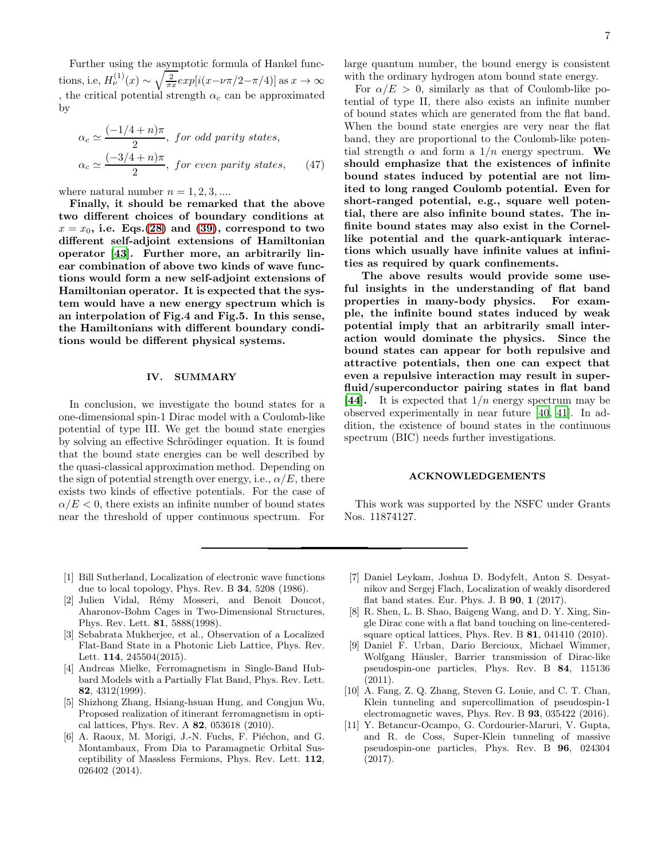Further using the asymptotic formula of Hankel functions, i.e,  $H_{\nu}^{(1)}(x) \sim \sqrt{\frac{2}{\pi x}} exp[i(x-\nu\pi/2-\pi/4)]$  as  $x \to \infty$ , the critical potential strength  $\alpha_c$  can be approximated by

$$
\alpha_c \simeq \frac{(-1/4 + n)\pi}{2}, \text{ for odd parity states,}
$$

$$
\alpha_c \simeq \frac{(-3/4 + n)\pi}{2}, \text{ for even parity states,} \qquad (47)
$$

where natural number  $n = 1, 2, 3, \dots$ 

Finally, it should be remarked that the above two different choices of boundary conditions at  $x = x_0$ , i.e. Eqs.[\(28\)](#page-3-4) and [\(39\)](#page-5-5), correspond to two different self-adjoint extensions of Hamiltonian operator [\[43\]](#page-7-20). Further more, an arbitrarily linear combination of above two kinds of wave functions would form a new self-adjoint extensions of Hamiltonian operator. It is expected that the system would have a new energy spectrum which is an interpolation of Fig.4 and Fig.5. In this sense, the Hamiltonians with different boundary conditions would be different physical systems.

### IV. SUMMARY

In conclusion, we investigate the bound states for a one-dimensional spin-1 Dirac model with a Coulomb-like potential of type III. We get the bound state energies by solving an effective Schrödinger equation. It is found that the bound state energies can be well described by the quasi-classical approximation method. Depending on the sign of potential strength over energy, i.e.,  $\alpha/E$ , there exists two kinds of effective potentials. For the case of  $\alpha/E < 0$ , there exists an infinite number of bound states near the threshold of upper continuous spectrum. For

large quantum number, the bound energy is consistent with the ordinary hydrogen atom bound state energy.

For  $\alpha/E > 0$ , similarly as that of Coulomb-like potential of type II, there also exists an infinite number of bound states which are generated from the flat band. When the bound state energies are very near the flat band, they are proportional to the Coulomb-like potential strength  $\alpha$  and form a  $1/n$  energy spectrum. We should emphasize that the existences of infinite bound states induced by potential are not limited to long ranged Coulomb potential. Even for short-ranged potential, e.g., square well potential, there are also infinite bound states. The infinite bound states may also exist in the Cornellike potential and the quark-antiquark interactions which usually have infinite values at infinities as required by quark confinements.

The above results would provide some useful insights in the understanding of flat band properties in many-body physics. For example, the infinite bound states induced by weak potential imply that an arbitrarily small interaction would dominate the physics. Since the bound states can appear for both repulsive and attractive potentials, then one can expect that even a repulsive interaction may result in superfluid/superconductor pairing states in flat band [\[44\]](#page-7-21). It is expected that  $1/n$  energy spectrum may be observed experimentally in near future [\[40,](#page-7-22) [41\]](#page-7-23). In addition, the existence of bound states in the continuous spectrum (BIC) needs further investigations.

## ACKNOWLEDGEMENTS

This work was supported by the NSFC under Grants Nos. 11874127.

- <span id="page-6-0"></span>[1] Bill Sutherland, Localization of electronic wave functions due to local topology, Phys. Rev. B 34, 5208 (1986).
- [2] Julien Vidal, Rémy Mosseri, and Benoit Doucot, Aharonov-Bohm Cages in Two-Dimensional Structures, Phys. Rev. Lett. 81, 5888(1998).
- <span id="page-6-1"></span>[3] Sebabrata Mukherjee, et al., Observation of a Localized Flat-Band State in a Photonic Lieb Lattice, Phys. Rev. Lett. 114, 245504(2015).
- <span id="page-6-2"></span>[4] Andreas Mielke, Ferromagnetism in Single-Band Hubbard Models with a Partially Flat Band, Phys. Rev. Lett. 82, 4312(1999).
- [5] Shizhong Zhang, Hsiang-hsuan Hung, and Congjun Wu, Proposed realization of itinerant ferromagnetism in optical lattices, Phys. Rev. A 82, 053618 (2010).
- <span id="page-6-3"></span>[6] A. Raoux, M. Morigi, J.-N. Fuchs, F. Piéchon, and G. Montambaux, From Dia to Paramagnetic Orbital Susceptibility of Massless Fermions, Phys. Rev. Lett. 112, 026402 (2014).
- <span id="page-6-4"></span>[7] Daniel Leykam, Joshua D. Bodyfelt, Anton S. Desyatnikov and Sergej Flach, Localization of weakly disordered flat band states. Eur. Phys. J. B 90, 1 (2017).
- <span id="page-6-5"></span>[8] R. Shen, L. B. Shao, Baigeng Wang, and D. Y. Xing, Single Dirac cone with a flat band touching on line-centeredsquare optical lattices, Phys. Rev. B 81, 041410 (2010).
- [9] Daniel F. Urban, Dario Bercioux, Michael Wimmer, Wolfgang Häusler, Barrier transmission of Dirac-like pseudospin-one particles, Phys. Rev. B 84, 115136 (2011).
- [10] A. Fang, Z. Q. Zhang, Steven G. Louie, and C. T. Chan, Klein tunneling and supercollimation of pseudospin-1 electromagnetic waves, Phys. Rev. B 93, 035422 (2016).
- <span id="page-6-6"></span>[11] Y. Betancur-Ocampo, G. Cordourier-Maruri, V. Gupta, and R. de Coss, Super-Klein tunneling of massive pseudospin-one particles, Phys. Rev. B 96, 024304 (2017).